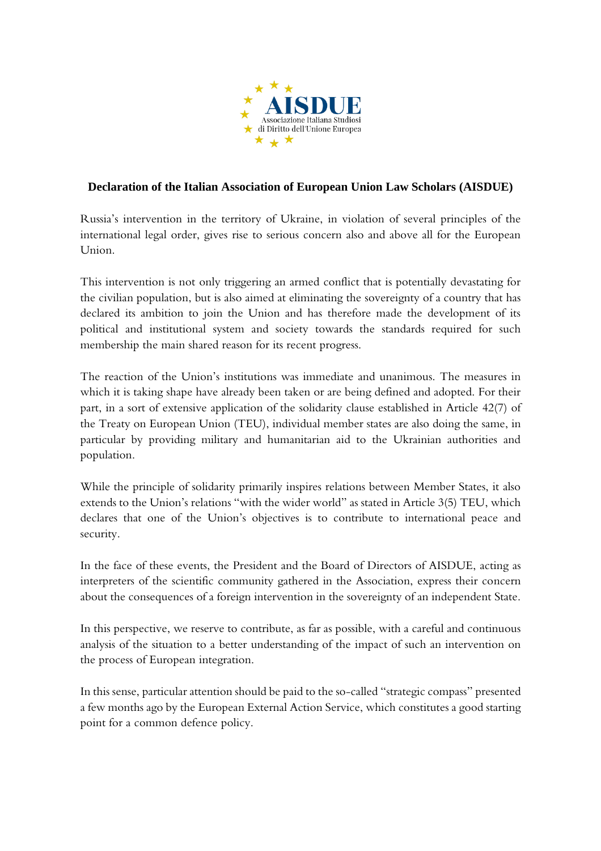

## **Declaration of the Italian Association of European Union Law Scholars (AISDUE)**

Russia's intervention in the territory of Ukraine, in violation of several principles of the international legal order, gives rise to serious concern also and above all for the European Union.

This intervention is not only triggering an armed conflict that is potentially devastating for the civilian population, but is also aimed at eliminating the sovereignty of a country that has declared its ambition to join the Union and has therefore made the development of its political and institutional system and society towards the standards required for such membership the main shared reason for its recent progress.

The reaction of the Union's institutions was immediate and unanimous. The measures in which it is taking shape have already been taken or are being defined and adopted. For their part, in a sort of extensive application of the solidarity clause established in Article 42(7) of the Treaty on European Union (TEU), individual member states are also doing the same, in particular by providing military and humanitarian aid to the Ukrainian authorities and population.

While the principle of solidarity primarily inspires relations between Member States, it also extends to the Union's relations "with the wider world" as stated in Article 3(5) TEU, which declares that one of the Union's objectives is to contribute to international peace and security.

In the face of these events, the President and the Board of Directors of AISDUE, acting as interpreters of the scientific community gathered in the Association, express their concern about the consequences of a foreign intervention in the sovereignty of an independent State.

In this perspective, we reserve to contribute, as far as possible, with a careful and continuous analysis of the situation to a better understanding of the impact of such an intervention on the process of European integration.

In this sense, particular attention should be paid to the so-called "strategic compass" presented a few months ago by the European External Action Service, which constitutes a good starting point for a common defence policy.